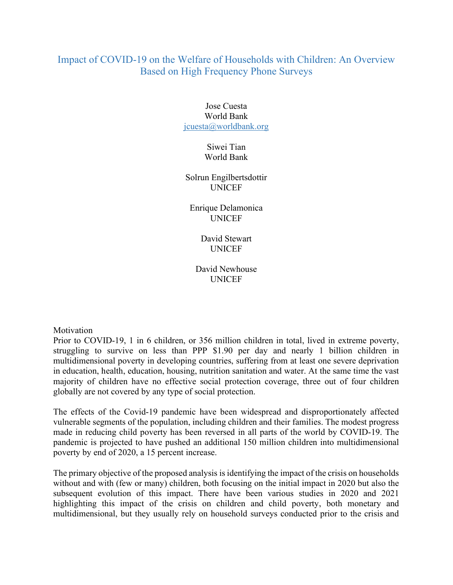# Impact of COVID-19 on the Welfare of Households with Children: An Overview Based on High Frequency Phone Surveys

## Jose Cuesta World Bank jcuesta@worldbank.org

## Siwei Tian World Bank

#### Solrun Engilbertsdottir UNICEF

## Enrique Delamonica UNICEF

## David Stewart UNICEF

## David Newhouse UNICEF

#### Motivation

Prior to COVID-19, 1 in 6 children, or 356 million children in total, lived in extreme poverty, struggling to survive on less than PPP \$1.90 per day and nearly 1 billion children in multidimensional poverty in developing countries, suffering from at least one severe deprivation in education, health, education, housing, nutrition sanitation and water. At the same time the vast majority of children have no effective social protection coverage, three out of four children globally are not covered by any type of social protection.

The effects of the Covid-19 pandemic have been widespread and disproportionately affected vulnerable segments of the population, including children and their families. The modest progress made in reducing child poverty has been reversed in all parts of the world by COVID-19. The pandemic is projected to have pushed an additional 150 million children into multidimensional poverty by end of 2020, a 15 percent increase.

The primary objective of the proposed analysis is identifying the impact of the crisis on households without and with (few or many) children, both focusing on the initial impact in 2020 but also the subsequent evolution of this impact. There have been various studies in 2020 and 2021 highlighting this impact of the crisis on children and child poverty, both monetary and multidimensional, but they usually rely on household surveys conducted prior to the crisis and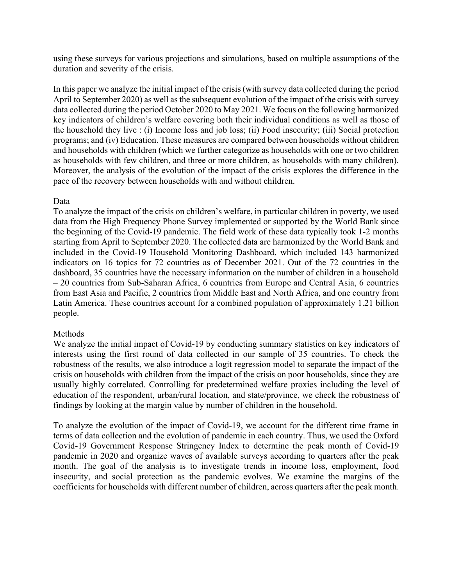using these surveys for various projections and simulations, based on multiple assumptions of the duration and severity of the crisis.

In this paper we analyze the initial impact of the crisis (with survey data collected during the period April to September 2020) as well as the subsequent evolution of the impact of the crisis with survey data collected during the period October 2020 to May 2021. We focus on the following harmonized key indicators of children's welfare covering both their individual conditions as well as those of the household they live : (i) Income loss and job loss; (ii) Food insecurity; (iii) Social protection programs; and (iv) Education. These measures are compared between households without children and households with children (which we further categorize as households with one or two children as households with few children, and three or more children, as households with many children). Moreover, the analysis of the evolution of the impact of the crisis explores the difference in the pace of the recovery between households with and without children.

## Data

To analyze the impact of the crisis on children's welfare, in particular children in poverty, we used data from the High Frequency Phone Survey implemented or supported by the World Bank since the beginning of the Covid-19 pandemic. The field work of these data typically took 1-2 months starting from April to September 2020. The collected data are harmonized by the World Bank and included in the Covid-19 Household Monitoring Dashboard, which included 143 harmonized indicators on 16 topics for 72 countries as of December 2021. Out of the 72 countries in the dashboard, 35 countries have the necessary information on the number of children in a household – 20 countries from Sub-Saharan Africa, 6 countries from Europe and Central Asia, 6 countries from East Asia and Pacific, 2 countries from Middle East and North Africa, and one country from Latin America. These countries account for a combined population of approximately 1.21 billion people.

#### Methods

We analyze the initial impact of Covid-19 by conducting summary statistics on key indicators of interests using the first round of data collected in our sample of 35 countries. To check the robustness of the results, we also introduce a logit regression model to separate the impact of the crisis on households with children from the impact of the crisis on poor households, since they are usually highly correlated. Controlling for predetermined welfare proxies including the level of education of the respondent, urban/rural location, and state/province, we check the robustness of findings by looking at the margin value by number of children in the household.

To analyze the evolution of the impact of Covid-19, we account for the different time frame in terms of data collection and the evolution of pandemic in each country. Thus, we used the Oxford Covid-19 Government Response Stringency Index to determine the peak month of Covid-19 pandemic in 2020 and organize waves of available surveys according to quarters after the peak month. The goal of the analysis is to investigate trends in income loss, employment, food insecurity, and social protection as the pandemic evolves. We examine the margins of the coefficients for households with different number of children, across quarters after the peak month.